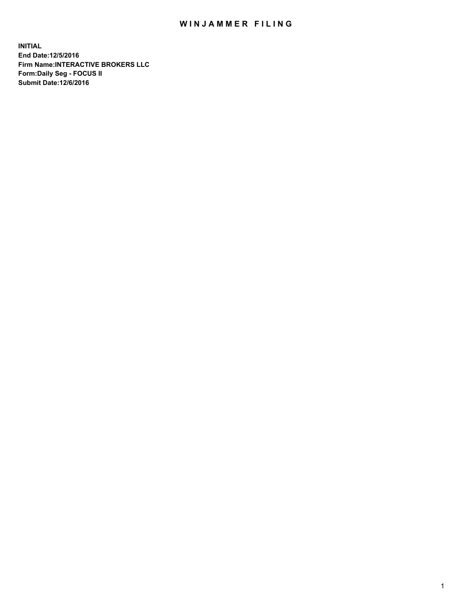## WIN JAMMER FILING

**INITIAL End Date:12/5/2016 Firm Name:INTERACTIVE BROKERS LLC Form:Daily Seg - FOCUS II Submit Date:12/6/2016**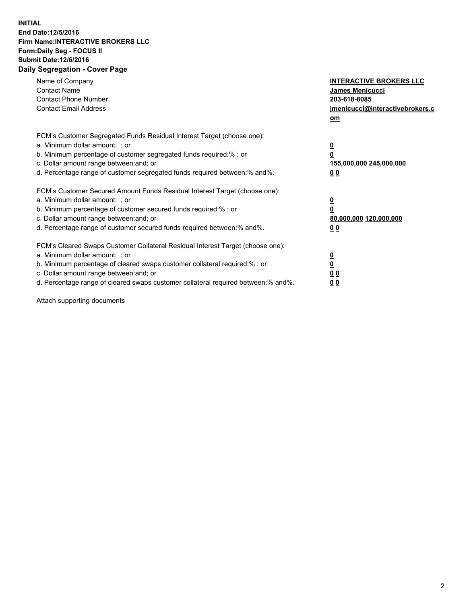## **INITIAL End Date:12/5/2016 Firm Name:INTERACTIVE BROKERS LLC Form:Daily Seg - FOCUS II Submit Date:12/6/2016 Daily Segregation - Cover Page**

| Name of Company<br><b>Contact Name</b><br><b>Contact Phone Number</b><br><b>Contact Email Address</b>                                                                                                                                                                                                                          | <b>INTERACTIVE BROKERS LLC</b><br>James Menicucci<br>203-618-8085<br>jmenicucci@interactivebrokers.c<br>om |
|--------------------------------------------------------------------------------------------------------------------------------------------------------------------------------------------------------------------------------------------------------------------------------------------------------------------------------|------------------------------------------------------------------------------------------------------------|
| FCM's Customer Segregated Funds Residual Interest Target (choose one):<br>a. Minimum dollar amount: ; or<br>b. Minimum percentage of customer segregated funds required:%; or<br>c. Dollar amount range between: and; or<br>d. Percentage range of customer segregated funds required between:% and%.                          | $\overline{\mathbf{0}}$<br>0<br>155,000,000 245,000,000<br>0 <sub>0</sub>                                  |
| FCM's Customer Secured Amount Funds Residual Interest Target (choose one):<br>a. Minimum dollar amount: ; or<br>b. Minimum percentage of customer secured funds required:%; or<br>c. Dollar amount range between: and; or<br>d. Percentage range of customer secured funds required between:% and%.                            | $\overline{\mathbf{0}}$<br>$\overline{\mathbf{0}}$<br>80,000,000 120,000,000<br>00                         |
| FCM's Cleared Swaps Customer Collateral Residual Interest Target (choose one):<br>a. Minimum dollar amount: ; or<br>b. Minimum percentage of cleared swaps customer collateral required:% ; or<br>c. Dollar amount range between: and; or<br>d. Percentage range of cleared swaps customer collateral required between:% and%. | $\overline{\mathbf{0}}$<br>$\overline{\mathbf{0}}$<br>0 <sub>0</sub><br><u>00</u>                          |

Attach supporting documents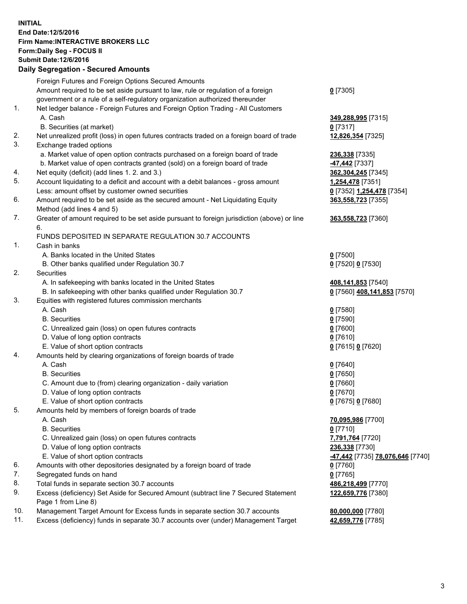## **INITIAL End Date:12/5/2016 Firm Name:INTERACTIVE BROKERS LLC Form:Daily Seg - FOCUS II Submit Date:12/6/2016 Daily Segregation - Secured Amounts**

|     | $-$ 0.000 $-$ 0.000 $-$ 0.000 $-$ 0.000 $-$ 0.000 $-$ 0.000 $-$ 0.000 $-$ 0.000 $-$ 0.000 $-$ 0.000 $-$ 0.000 $-$ 0.000 $-$ 0.000 $-$ 0.000 $-$ 0.000 $-$ 0.000 $-$ 0.000 $-$ 0.000 $-$ 0.000 $-$ 0.000 $-$ 0.000 $-$ 0.000 |                                  |
|-----|-----------------------------------------------------------------------------------------------------------------------------------------------------------------------------------------------------------------------------|----------------------------------|
|     | Foreign Futures and Foreign Options Secured Amounts                                                                                                                                                                         |                                  |
|     | Amount required to be set aside pursuant to law, rule or regulation of a foreign                                                                                                                                            | $0$ [7305]                       |
|     | government or a rule of a self-regulatory organization authorized thereunder                                                                                                                                                |                                  |
| 1.  | Net ledger balance - Foreign Futures and Foreign Option Trading - All Customers                                                                                                                                             |                                  |
|     | A. Cash                                                                                                                                                                                                                     | 349,288,995 [7315]               |
|     | B. Securities (at market)                                                                                                                                                                                                   | $0$ [7317]                       |
| 2.  | Net unrealized profit (loss) in open futures contracts traded on a foreign board of trade                                                                                                                                   | 12,826,354 [7325]                |
| 3.  | Exchange traded options                                                                                                                                                                                                     |                                  |
|     | a. Market value of open option contracts purchased on a foreign board of trade                                                                                                                                              | 236,338 [7335]                   |
|     | b. Market value of open contracts granted (sold) on a foreign board of trade                                                                                                                                                | -47,442 <sub>[7337]</sub>        |
| 4.  | Net equity (deficit) (add lines 1.2. and 3.)                                                                                                                                                                                | 362, 304, 245 [7345]             |
| 5.  | Account liquidating to a deficit and account with a debit balances - gross amount                                                                                                                                           | 1,254,478 [7351]                 |
|     | Less: amount offset by customer owned securities                                                                                                                                                                            | 0 [7352] 1,254,478 [7354]        |
| 6.  | Amount required to be set aside as the secured amount - Net Liquidating Equity                                                                                                                                              | 363,558,723 [7355]               |
|     | Method (add lines 4 and 5)                                                                                                                                                                                                  |                                  |
| 7.  | Greater of amount required to be set aside pursuant to foreign jurisdiction (above) or line<br>6.                                                                                                                           | 363,558,723 [7360]               |
|     | FUNDS DEPOSITED IN SEPARATE REGULATION 30.7 ACCOUNTS                                                                                                                                                                        |                                  |
| 1.  | Cash in banks                                                                                                                                                                                                               |                                  |
|     | A. Banks located in the United States                                                                                                                                                                                       | $0$ [7500]                       |
|     | B. Other banks qualified under Regulation 30.7                                                                                                                                                                              | 0 [7520] 0 [7530]                |
| 2.  | Securities                                                                                                                                                                                                                  |                                  |
|     | A. In safekeeping with banks located in the United States                                                                                                                                                                   | 408,141,853 [7540]               |
|     | B. In safekeeping with other banks qualified under Regulation 30.7                                                                                                                                                          | 0 [7560] 408,141,853 [7570]      |
| 3.  | Equities with registered futures commission merchants                                                                                                                                                                       |                                  |
|     | A. Cash                                                                                                                                                                                                                     | $0$ [7580]                       |
|     | <b>B.</b> Securities                                                                                                                                                                                                        | $0$ [7590]                       |
|     | C. Unrealized gain (loss) on open futures contracts                                                                                                                                                                         | $0$ [7600]                       |
|     | D. Value of long option contracts                                                                                                                                                                                           | $0$ [7610]                       |
|     | E. Value of short option contracts                                                                                                                                                                                          | 0 [7615] 0 [7620]                |
| 4.  | Amounts held by clearing organizations of foreign boards of trade                                                                                                                                                           |                                  |
|     | A. Cash                                                                                                                                                                                                                     | $0$ [7640]                       |
|     | <b>B.</b> Securities                                                                                                                                                                                                        | $0$ [7650]                       |
|     | C. Amount due to (from) clearing organization - daily variation                                                                                                                                                             | $0$ [7660]                       |
|     | D. Value of long option contracts                                                                                                                                                                                           | $0$ [7670]                       |
|     | E. Value of short option contracts                                                                                                                                                                                          | 0 [7675] 0 [7680]                |
| 5.  | Amounts held by members of foreign boards of trade                                                                                                                                                                          |                                  |
|     | A. Cash                                                                                                                                                                                                                     | 70,095,986 [7700]                |
|     | <b>B.</b> Securities                                                                                                                                                                                                        | $0$ [7710]                       |
|     | C. Unrealized gain (loss) on open futures contracts                                                                                                                                                                         | 7,791,764 [7720]                 |
|     | D. Value of long option contracts                                                                                                                                                                                           | 236,338 [7730]                   |
|     | E. Value of short option contracts                                                                                                                                                                                          | -47,442 [7735] 78,076,646 [7740] |
| 6.  | Amounts with other depositories designated by a foreign board of trade                                                                                                                                                      | 0 [7760]                         |
| 7.  | Segregated funds on hand                                                                                                                                                                                                    | $0$ [7765]                       |
| 8.  | Total funds in separate section 30.7 accounts                                                                                                                                                                               | 486,218,499 [7770]               |
| 9.  | Excess (deficiency) Set Aside for Secured Amount (subtract line 7 Secured Statement                                                                                                                                         | 122,659,776 [7380]               |
|     | Page 1 from Line 8)                                                                                                                                                                                                         |                                  |
| 10. | Management Target Amount for Excess funds in separate section 30.7 accounts                                                                                                                                                 | 80,000,000 [7780]                |
| 11. | Excess (deficiency) funds in separate 30.7 accounts over (under) Management Target                                                                                                                                          | 42,659,776 [7785]                |
|     |                                                                                                                                                                                                                             |                                  |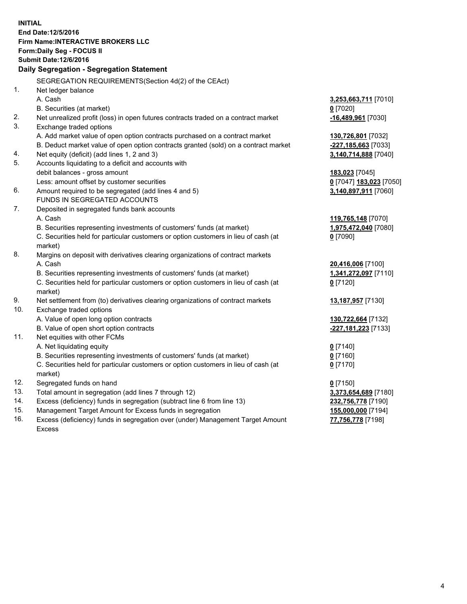**INITIAL End Date:12/5/2016 Firm Name:INTERACTIVE BROKERS LLC Form:Daily Seg - FOCUS II Submit Date:12/6/2016 Daily Segregation - Segregation Statement** SEGREGATION REQUIREMENTS(Section 4d(2) of the CEAct) 1. Net ledger balance A. Cash **3,253,663,711** [7010] B. Securities (at market) **0** [7020] 2. Net unrealized profit (loss) in open futures contracts traded on a contract market **-16,489,961** [7030] 3. Exchange traded options A. Add market value of open option contracts purchased on a contract market **130,726,801** [7032] B. Deduct market value of open option contracts granted (sold) on a contract market **-227,185,663** [7033] 4. Net equity (deficit) (add lines 1, 2 and 3) **3,140,714,888** [7040] 5. Accounts liquidating to a deficit and accounts with debit balances - gross amount **183,023** [7045] Less: amount offset by customer securities **0** [7047] **183,023** [7050] 6. Amount required to be segregated (add lines 4 and 5) **3,140,897,911** [7060] FUNDS IN SEGREGATED ACCOUNTS 7. Deposited in segregated funds bank accounts A. Cash **119,765,148** [7070] B. Securities representing investments of customers' funds (at market) **1,975,472,040** [7080] C. Securities held for particular customers or option customers in lieu of cash (at market) **0** [7090] 8. Margins on deposit with derivatives clearing organizations of contract markets A. Cash **20,416,006** [7100] B. Securities representing investments of customers' funds (at market) **1,341,272,097** [7110] C. Securities held for particular customers or option customers in lieu of cash (at market) **0** [7120] 9. Net settlement from (to) derivatives clearing organizations of contract markets **13,187,957** [7130] 10. Exchange traded options A. Value of open long option contracts **130,722,664** [7132] B. Value of open short option contracts **-227,181,223** [7133] 11. Net equities with other FCMs A. Net liquidating equity **0** [7140] B. Securities representing investments of customers' funds (at market) **0** [7160] C. Securities held for particular customers or option customers in lieu of cash (at market) **0** [7170] 12. Segregated funds on hand **0** [7150] 13. Total amount in segregation (add lines 7 through 12) **3,373,654,689** [7180] 14. Excess (deficiency) funds in segregation (subtract line 6 from line 13) **232,756,778** [7190] 15. Management Target Amount for Excess funds in segregation **155,000,000** [7194] **77,756,778** [7198]

16. Excess (deficiency) funds in segregation over (under) Management Target Amount Excess